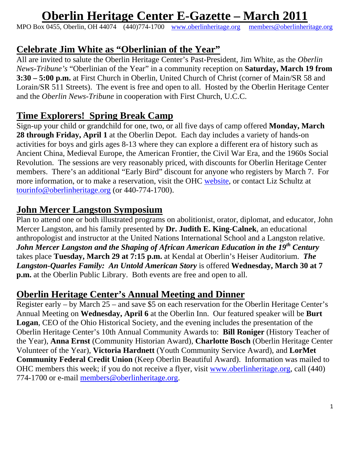# **Oberlin Heritage Center E-Gazette – March 2011**

MPO Box 0455, Oberlin, OH 44074 (440)774-1700 [www.oberlinheritage.org](http://www.oberlinheritage.org/) [members@oberlinheritage.org](mailto:members@oberlinheritage.org)

### **Celebrate Jim White as "Oberlinian of the Year"**

All are invited to salute the Oberlin Heritage Center's Past-President, Jim White, as the *Oberlin News-Tribune's* "Oberlinian of the Year" in a community reception on **Saturday, March 19 from 3:30 – 5:00 p.m.** at First Church in Oberlin, United Church of Christ (corner of Main/SR 58 and Lorain/SR 511 Streets). The event is free and open to all. Hosted by the Oberlin Heritage Center and the *Oberlin News-Tribune* in cooperation with First Church, U.C.C.

# **Time Explorers! Spring Break Camp**

Sign-up your child or grandchild for one, two, or all five days of camp offered **Monday, March 28 through Friday, April 1** at the Oberlin Depot. Each day includes a variety of hands-on activities for boys and girls ages 8-13 where they can explore a different era of history such as Ancient China, Medieval Europe, the American Frontier, the Civil War Era, and the 1960s Social Revolution. The sessions are very reasonably priced, with discounts for Oberlin Heritage Center members. There's an additional "Early Bird" discount for anyone who registers by March 7. For more information, or to make a reservation, visit the OHC [website](http://www.oberlinheritage.org/), or contact Liz Schultz at [tourinfo@oberlinheritage.org](mailto:tourinfo@oberlinheritage.org) (or 440-774-1700).

### **John Mercer Langston Symposium**

Plan to attend one or both illustrated programs on abolitionist, orator, diplomat, and educator, John Mercer Langston, and his family presented by **Dr. Judith E. King-Calnek**, an educational anthropologist and instructor at the United Nations International School and a Langston relative. *John Mercer Langston and the Shaping of African American Education in the 19th Century* takes place **Tuesday, March 29 at 7:15 p.m.** at Kendal at Oberlin's Heiser Auditorium. *The Langston-Quarles Family: An Untold American Story* is offered **Wednesday, March 30 at 7 p.m.** at the Oberlin Public Library. Both events are free and open to all.

### **Oberlin Heritage Center's Annual Meeting and Dinner**

Register early – by March 25 – and save \$5 on each reservation for the Oberlin Heritage Center's Annual Meeting on **Wednesday, April 6** at the Oberlin Inn. Our featured speaker will be **Burt Logan**, CEO of the Ohio Historical Society, and the evening includes the presentation of the Oberlin Heritage Center's 10th Annual Community Awards to: **Bill Roniger** (History Teacher of the Year), **Anna Ernst** (Community Historian Award), **Charlotte Bosch** (Oberlin Heritage Center Volunteer of the Year), **Victoria Hardnett** (Youth Community Service Award), and **LorMet Community Federal Credit Union** (Keep Oberlin Beautiful Award). Information was mailed to OHC members this week; if you do not receive a flyer, visit [www.oberlinheritage.org](http://www.oberlinheritage.org/), call (440) 774-1700 or e-mail [members@oberlinheritage.org](mailto:members@oberlinheritage.org).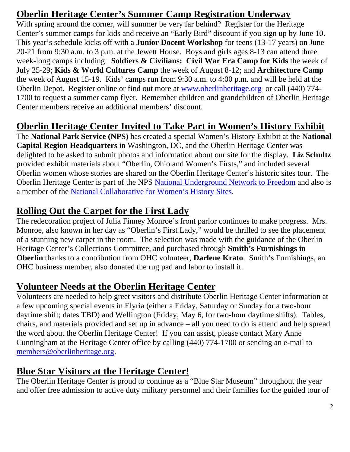# **Oberlin Heritage Center's Summer Camp Registration Underway**

With spring around the corner, will summer be very far behind? Register for the Heritage Center's summer camps for kids and receive an "Early Bird" discount if you sign up by June 10. This year's schedule kicks off with a **Junior Docent Workshop** for teens (13-17 years) on June 20-21 from 9:30 a.m. to 3 p.m. at the Jewett House. Boys and girls ages 8-13 can attend three week-long camps including: **Soldiers & Civilians: Civil War Era Camp for Kids** the week of July 25-29; **Kids & World Cultures Camp** the week of August 8-12; and **Architecture Camp** the week of August 15-19. Kids' camps run from 9:30 a.m. to 4:00 p.m. and will be held at the Oberlin Depot. Register online or find out more at [www.oberlinheritage.org](http://www.oberlinheritage.org/) or call (440) 774- 1700 to request a summer camp flyer. Remember children and grandchildren of Oberlin Heritage Center members receive an additional members' discount.

#### **Oberlin Heritage Center Invited to Take Part in Women's History Exhibit**

The **National Park Service (NPS)** has created a special Women's History Exhibit at the **National Capital Region Headquarters** in Washington, DC, and the Oberlin Heritage Center was delighted to be asked to submit photos and information about our site for the display. **Liz Schultz** provided exhibit materials about "Oberlin, Ohio and Women's Firsts," and included several Oberlin women whose stories are shared on the Oberlin Heritage Center's historic sites tour. The Oberlin Heritage Center is part of the NPS [National Underground Network to Freedom](http://www.nps.gov/history/ugrr/) and also is a member of the [National Collaborative for Women's History Sites.](http://ncwhs.org/)

### **Rolling Out the Carpet for the First Lady**

The redecoration project of Julia Finney Monroe's front parlor continues to make progress. Mrs. Monroe, also known in her day as "Oberlin's First Lady," would be thrilled to see the placement of a stunning new carpet in the room. The selection was made with the guidance of the Oberlin Heritage Center's Collections Committee, and purchased through **Smith's Furnishings in Oberlin** thanks to a contribution from OHC volunteer, **Darlene Krato**. Smith's Furnishings, an OHC business member, also donated the rug pad and labor to install it.

#### **Volunteer Needs at the Oberlin Heritage Center**

Volunteers are needed to help greet visitors and distribute Oberlin Heritage Center information at a few upcoming special events in Elyria (either a Friday, Saturday or Sunday for a two-hour daytime shift; dates TBD) and Wellington (Friday, May 6, for two-hour daytime shifts). Tables, chairs, and materials provided and set up in advance – all you need to do is attend and help spread the word about the Oberlin Heritage Center! If you can assist, please contact Mary Anne Cunningham at the Heritage Center office by calling (440) 774-1700 or sending an e-mail to [members@oberlinheritage.org.](mailto:members@oberlinheritage.org)

### **Blue Star Visitors at the Heritage Center!**

The Oberlin Heritage Center is proud to continue as a "Blue Star Museum" throughout the year and offer free admission to active duty military personnel and their families for the guided tour of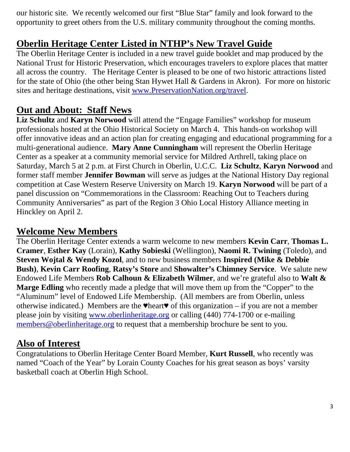our historic site. We recently welcomed our first "Blue Star" family and look forward to the opportunity to greet others from the U.S. military community throughout the coming months.

# **Oberlin Heritage Center Listed in NTHP's New Travel Guide**

The Oberlin Heritage Center is included in a new travel guide booklet and map produced by the National Trust for Historic Preservation, which encourages travelers to explore places that matter all across the country. The Heritage Center is pleased to be one of two historic attractions listed for the state of Ohio (the other being Stan Hywet Hall & Gardens in Akron). For more on historic sites and heritage destinations, visit [www.PreservationNation.org/travel.](http://www.preservationnation.org/travel)

**Out and About: Staff News**<br>Liz Schultz and Karyn Norwood will attend the "Engage Families" workshop for museum professionals hosted at the Ohio Historical Society on March 4. This hands-on workshop will offer innovative ideas and an action plan for creating engaging and educational programming for a multi-generational audience. **Mary Anne Cunningham** will represent the Oberlin Heritage Center as a speaker at a community memorial service for Mildred Arthrell, taking place on Saturday, March 5 at 2 p.m. at First Church in Oberlin, U.C.C. **Liz Schultz**, **Karyn Norwood** and former staff member **Jennifer Bowman** will serve as judges at the National History Day regional competition at Case Western Reserve University on March 19. **Karyn Norwood** will be part of a panel discussion on "Commemorations in the Classroom: Reaching Out to Teachers during Community Anniversaries" as part of the Region 3 Ohio Local History Alliance meeting in Hinckley on April 2.

### **Welcome New Members**

The Oberlin Heritage Center extends a warm welcome to new members **Kevin Carr**, **Thomas L. Cramer**, **Esther Kay** (Lorain), **Kathy Sobieski** (Wellington), **Naomi R. Twining** (Toledo), and **Steven Wojtal & Wendy Kozol**, and to new business members **Inspired (Mike & Debbie Bush)**, **Kevin Carr Roofing**, **Ratsy's Store** and **Showalter's Chimney Service**. We salute new Endowed Life Members **Rob Calhoun & Elizabeth Wilmer**, and we're grateful also to **Walt & Marge Edling** who recently made a pledge that will move them up from the "Copper" to the "Aluminum" level of Endowed Life Membership. (All members are from Oberlin, unless otherwise indicated.) Members are the  $\blacktriangledown$  beart $\blacktriangledown$  of this organization – if you are not a member please join by visiting [www.oberlinheritage.org](http://www.oberlinheritage.org/) or calling (440) 774-1700 or e-mailing [members@oberlinheritage.org](mailto:members@oberlinheritage.org) to request that a membership brochure be sent to you.

### **Also of Interest**

Congratulations to Oberlin Heritage Center Board Member, **Kurt Russell**, who recently was named "Coach of the Year" by Lorain County Coaches for his great season as boys' varsity basketball coach at Oberlin High School.